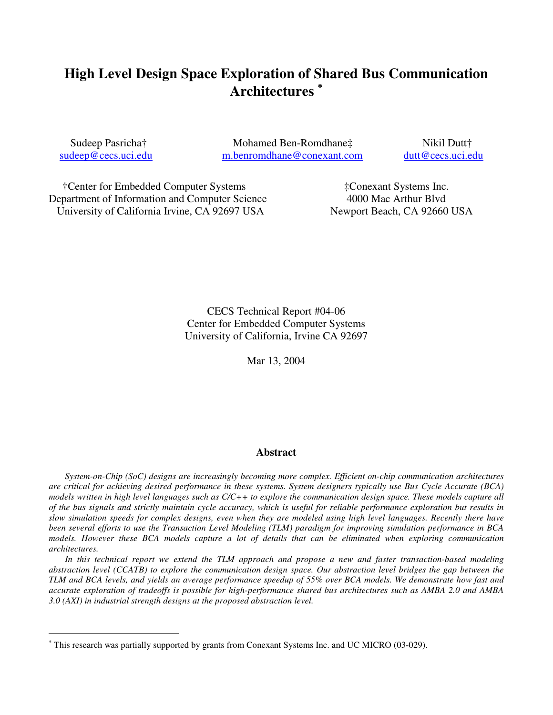# **High Level Design Space Exploration of Shared Bus Communication Architectures** ∗

Sudeep Pasricha† Mohamed Ben-Romdhane‡ Nikil Dutt† sudeep@cecs.uci.edu m.benromdhane@conexant.com dutt@cecs.uci.edu

†Center for Embedded Computer Systems ‡Conexant Systems Inc. Department of Information and Computer Science 4000 Mac Arthur Blvd University of California Irvine, CA 92697 USA Newport Beach, CA 92660 USA

CECS Technical Report #04-06 Center for Embedded Computer Systems University of California, Irvine CA 92697

Mar 13, 2004

#### **Abstract**

*System-on-Chip (SoC) designs are increasingly becoming more complex. Efficient on-chip communication architectures* are critical for achieving desired performance in these systems. System designers typically use Bus Cycle Accurate (BCA) models written in high level languages such as  $C/C++$  to explore the communication design space. These models capture all of the bus signals and strictly maintain cycle accuracy, which is useful for reliable performance exploration but results in slow simulation speeds for complex designs, even when they are modeled using high level languages. Recently there have been several efforts to use the Transaction Level Modeling (TLM) paradigm for improving simulation performance in BCA models. However these BCA models capture a lot of details that can be eliminated when exploring communication *architectures.*

In this technical report we extend the TLM approach and propose a new and faster transaction-based modeling abstraction level (CCATB) to explore the communication design space. Our abstraction level bridges the gap between the TLM and BCA levels, and yields an average performance speedup of 55% over BCA models. We demonstrate how fast and accurate exploration of tradeoffs is possible for high-performance shared bus architectures such as AMBA 2.0 and AMBA *3.0 (AXI) in industrial strength designs at the proposed abstraction level.*

This research was partially supported by grants from Conexant Systems Inc. and UC MICRO (03-029).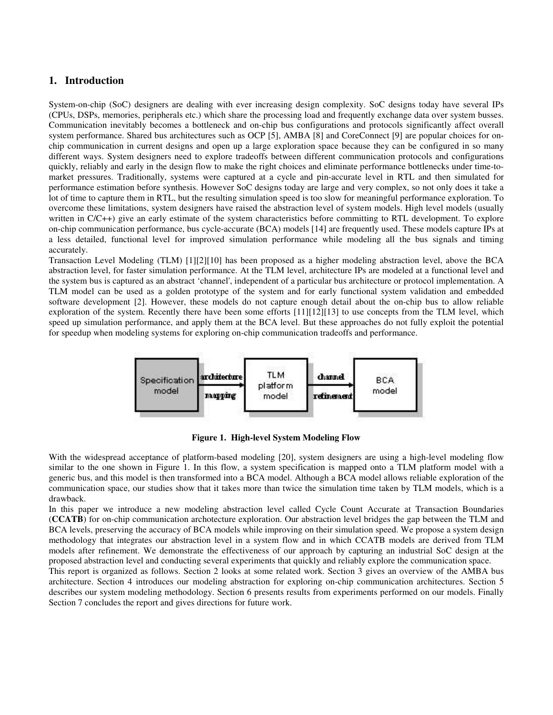#### **1. Introduction**

System-on-chip (SoC) designers are dealing with ever increasing design complexity. SoC designs today have several IPs (CPUs, DSPs, memories, peripherals etc.) which share the processing load and frequently exchange data over system busses. Communication inevitably becomes a bottleneck and on-chip bus configurations and protocols significantly affect overall system performance. Shared bus architectures such as OCP [5], AMBA [8] and CoreConnect [9] are popular choices for onchip communication in current designs and open up a large exploration space because they can be configured in so many different ways. System designers need to explore tradeoffs between different communication protocols and configurations quickly, reliably and early in the design flow to make the right choices and eliminate performance bottlenecks under time-tomarket pressures. Traditionally, systems were captured at a cycle and pin-accurate level in RTL and then simulated for performance estimation before synthesis. However SoC designs today are large and very complex, so not only does it take a lot of time to capture them in RTL, but the resulting simulation speed is too slow for meaningful performance exploration. To overcome these limitations, system designers have raised the abstraction level of system models. High level models (usually written in C/C++) give an early estimate of the system characteristics before committing to RTL development. To explore on-chip communication performance, bus cycle-accurate (BCA) models [14] are frequently used. These models capture IPs at a less detailed, functional level for improved simulation performance while modeling all the bus signals and timing accurately.

Transaction Level Modeling (TLM) [1][2][10] has been proposed as a higher modeling abstraction level, above the BCA abstraction level, for faster simulation performance. At the TLM level, architecture IPs are modeled at a functional level and the system bus is captured as an abstract 'channel', independent of a particular bus architecture or protocol implementation. A TLM model can be used as a golden prototype of the system and for early functional system validation and embedded software development [2]. However, these models do not capture enough detail about the on-chip bus to allow reliable exploration of the system. Recently there have been some efforts [11][12][13] to use concepts from the TLM level, which speed up simulation performance, and apply them at the BCA level. But these approaches do not fully exploit the potential for speedup when modeling systems for exploring on-chip communication tradeoffs and performance.



**Figure 1. High-level System Modeling Flow**

With the widespread acceptance of platform-based modeling [20], system designers are using a high-level modeling flow similar to the one shown in Figure 1. In this flow, a system specification is mapped onto a TLM platform model with a generic bus, and this model is then transformed into a BCA model. Although a BCA model allows reliable exploration of the communication space, our studies show that it takes more than twice the simulation time taken by TLM models, which is a drawback.

In this paper we introduce a new modeling abstraction level called Cycle Count Accurate at Transaction Boundaries (**CCATB**) for on-chip communication archotecture exploration. Our abstraction level bridges the gap between the TLM and BCA levels, preserving the accuracy of BCA models while improving on their simulation speed. We propose a system design methodology that integrates our abstraction level in a system flow and in which CCATB models are derived from TLM models after refinement. We demonstrate the effectiveness of our approach by capturing an industrial SoC design at the proposed abstraction level and conducting several experiments that quickly and reliably explore the communication space.

This report is organized as follows. Section 2 looks at some related work. Section 3 gives an overview of the AMBA bus architecture. Section 4 introduces our modeling abstraction for exploring on-chip communication architectures. Section 5 describes our system modeling methodology. Section 6 presents results from experiments performed on our models. Finally Section 7 concludes the report and gives directions for future work.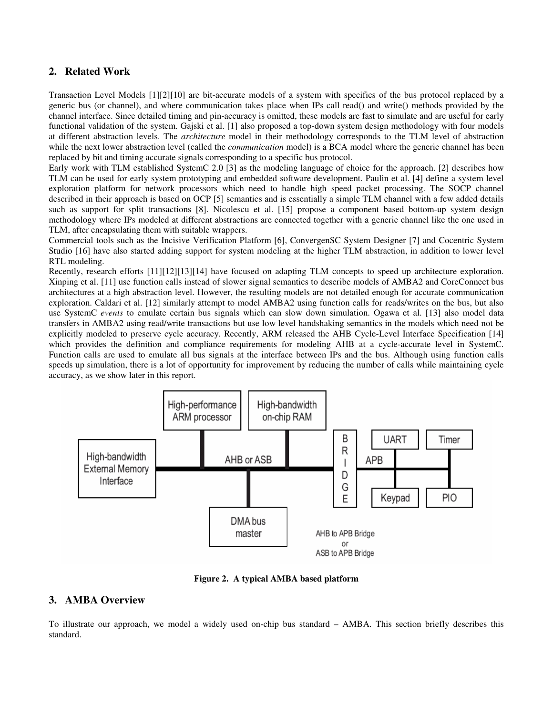### **2. Related Work**

Transaction Level Models [1][2][10] are bit-accurate models of a system with specifics of the bus protocol replaced by a generic bus (or channel), and where communication takes place when IPs call read() and write() methods provided by the channel interface. Since detailed timing and pin-accuracy is omitted, these models are fast to simulate and are useful for early functional validation of the system. Gajski et al. [1] also proposed a top-down system design methodology with four models at different abstraction levels. The *architecture* model in their methodology corresponds to the TLM level of abstraction while the next lower abstraction level (called the *communication* model) is a BCA model where the generic channel has been replaced by bit and timing accurate signals corresponding to a specific bus protocol.

Early work with TLM established SystemC 2.0 [3] as the modeling language of choice for the approach. [2] describes how TLM can be used for early system prototyping and embedded software development. Paulin et al. [4] define a system level exploration platform for network processors which need to handle high speed packet processing. The SOCP channel described in their approach is based on OCP [5] semantics and is essentially a simple TLM channel with a few added details such as support for split transactions [8]. Nicolescu et al. [15] propose a component based bottom-up system design methodology where IPs modeled at different abstractions are connected together with a generic channel like the one used in TLM, after encapsulating them with suitable wrappers.

Commercial tools such as the Incisive Verification Platform [6], ConvergenSC System Designer [7] and Cocentric System Studio [16] have also started adding support for system modeling at the higher TLM abstraction, in addition to lower level RTL modeling.

Recently, research efforts [11][12][13][14] have focused on adapting TLM concepts to speed up architecture exploration. Xinping et al. [11] use function calls instead of slower signal semantics to describe models of AMBA2 and CoreConnect bus architectures at a high abstraction level. However, the resulting models are not detailed enough for accurate communication exploration. Caldari et al. [12] similarly attempt to model AMBA2 using function calls for reads/writes on the bus, but also use SystemC *events* to emulate certain bus signals which can slow down simulation. Ogawa et al. [13] also model data transfers in AMBA2 using read/write transactions but use low level handshaking semantics in the models which need not be explicitly modeled to preserve cycle accuracy. Recently, ARM released the AHB Cycle-Level Interface Specification [14] which provides the definition and compliance requirements for modeling AHB at a cycle-accurate level in SystemC. Function calls are used to emulate all bus signals at the interface between IPs and the bus. Although using function calls speeds up simulation, there is a lot of opportunity for improvement by reducing the number of calls while maintaining cycle accuracy, as we show later in this report.



**Figure 2. A typical AMBA based platform**

### **3. AMBA Overview**

To illustrate our approach, we model a widely used on-chip bus standard – AMBA. This section briefly describes this standard.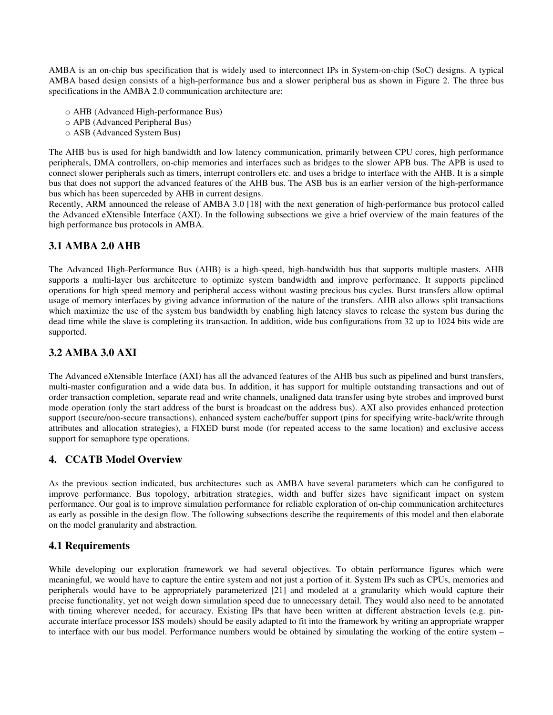AMBA is an on-chip bus specification that is widely used to interconnect IPs in System-on-chip (SoC) designs. A typical AMBA based design consists of a high-performance bus and a slower peripheral bus as shown in Figure 2. The three bus specifications in the AMBA 2.0 communication architecture are:

- o AHB (Advanced High-performance Bus)
- o APB (Advanced Peripheral Bus)
- o ASB (Advanced System Bus)

The AHB bus is used for high bandwidth and low latency communication, primarily between CPU cores, high performance peripherals, DMA controllers, on-chip memories and interfaces such as bridges to the slower APB bus. The APB is used to connect slower peripherals such as timers, interrupt controllers etc. and uses a bridge to interface with the AHB. It is a simple bus that does not support the advanced features of the AHB bus. The ASB bus is an earlier version of the high-performance bus which has been superceded by AHB in current designs.

Recently, ARM announced the release of AMBA 3.0 [18] with the next generation of high-performance bus protocol called the Advanced eXtensible Interface (AXI). In the following subsections we give a brief overview of the main features of the high performance bus protocols in AMBA.

# **3.1 AMBA 2.0 AHB**

The Advanced High-Performance Bus (AHB) is a high-speed, high-bandwidth bus that supports multiple masters. AHB supports a multi-layer bus architecture to optimize system bandwidth and improve performance. It supports pipelined operations for high speed memory and peripheral access without wasting precious bus cycles. Burst transfers allow optimal usage of memory interfaces by giving advance information of the nature of the transfers. AHB also allows split transactions which maximize the use of the system bus bandwidth by enabling high latency slaves to release the system bus during the dead time while the slave is completing its transaction. In addition, wide bus configurations from 32 up to 1024 bits wide are supported.

# **3.2 AMBA 3.0 AXI**

The Advanced eXtensible Interface (AXI) has all the advanced features of the AHB bus such as pipelined and burst transfers, multi-master configuration and a wide data bus. In addition, it has support for multiple outstanding transactions and out of order transaction completion, separate read and write channels, unaligned data transfer using byte strobes and improved burst mode operation (only the start address of the burst is broadcast on the address bus). AXI also provides enhanced protection support (secure/non-secure transactions), enhanced system cache/buffer support (pins for specifying write-back/write through attributes and allocation strategies), a FIXED burst mode (for repeated access to the same location) and exclusive access support for semaphore type operations.

# **4. CCATB Model Overview**

As the previous section indicated, bus architectures such as AMBA have several parameters which can be configured to improve performance. Bus topology, arbitration strategies, width and buffer sizes have significant impact on system performance. Our goal is to improve simulation performance for reliable exploration of on-chip communication architectures as early as possible in the design flow. The following subsections describe the requirements of this model and then elaborate on the model granularity and abstraction.

#### **4.1 Requirements**

While developing our exploration framework we had several objectives. To obtain performance figures which were meaningful, we would have to capture the entire system and not just a portion of it. System IPs such as CPUs, memories and peripherals would have to be appropriately parameterized [21] and modeled at a granularity which would capture their precise functionality, yet not weigh down simulation speed due to unnecessary detail. They would also need to be annotated with timing wherever needed, for accuracy. Existing IPs that have been written at different abstraction levels (e.g. pinaccurate interface processor ISS models) should be easily adapted to fit into the framework by writing an appropriate wrapper to interface with our bus model. Performance numbers would be obtained by simulating the working of the entire system –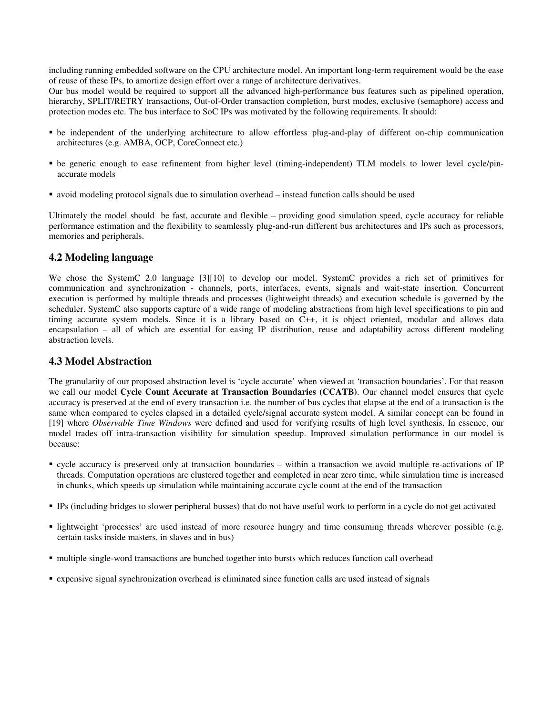including running embedded software on the CPU architecture model. An important long-term requirement would be the ease of reuse of these IPs, to amortize design effort over a range of architecture derivatives.

Our bus model would be required to support all the advanced high-performance bus features such as pipelined operation, hierarchy, SPLIT/RETRY transactions, Out-of-Order transaction completion, burst modes, exclusive (semaphore) access and protection modes etc. The bus interface to SoC IPs was motivated by the following requirements. It should:

- be independent of the underlying architecture to allow effortless plug-and-play of different on-chip communication architectures (e.g. AMBA, OCP, CoreConnect etc.)
- be generic enough to ease refinement from higher level (timing-independent) TLM models to lower level cycle/pinaccurate models
- avoid modeling protocol signals due to simulation overhead instead function calls should be used

Ultimately the model should be fast, accurate and flexible – providing good simulation speed, cycle accuracy for reliable performance estimation and the flexibility to seamlessly plug-and-run different bus architectures and IPs such as processors, memories and peripherals.

#### **4.2 Modeling language**

We chose the SystemC 2.0 language [3][10] to develop our model. SystemC provides a rich set of primitives for communication and synchronization - channels, ports, interfaces, events, signals and wait-state insertion. Concurrent execution is performed by multiple threads and processes (lightweight threads) and execution schedule is governed by the scheduler. SystemC also supports capture of a wide range of modeling abstractions from high level specifications to pin and timing accurate system models. Since it is a library based on C++, it is object oriented, modular and allows data encapsulation – all of which are essential for easing IP distribution, reuse and adaptability across different modeling abstraction levels.

### **4.3 Model Abstraction**

The granularity of our proposed abstraction level is 'cycle accurate' when viewed at 'transaction boundaries'. For that reason we call our model **Cycle Count Accurate at Transaction Boundaries (CCATB)**. Our channel model ensures that cycle accuracy is preserved at the end of every transaction i.e. the number of bus cycles that elapse at the end of a transaction is the same when compared to cycles elapsed in a detailed cycle/signal accurate system model. A similar concept can be found in [19] where *Observable Time Windows* were defined and used for verifying results of high level synthesis. In essence, our model trades off intra-transaction visibility for simulation speedup. Improved simulation performance in our model is because:

- cycle accuracy is preserved only at transaction boundaries within a transaction we avoid multiple re-activations of IP threads. Computation operations are clustered together and completed in near zero time, while simulation time is increased in chunks, which speeds up simulation while maintaining accurate cycle count at the end of the transaction
- IPs (including bridges to slower peripheral busses) that do not have useful work to perform in a cycle do not get activated
- Ightweight 'processes' are used instead of more resource hungry and time consuming threads wherever possible (e.g. certain tasks inside masters, in slaves and in bus)
- multiple single-word transactions are bunched together into bursts which reduces function call overhead
- expensive signal synchronization overhead is eliminated since function calls are used instead of signals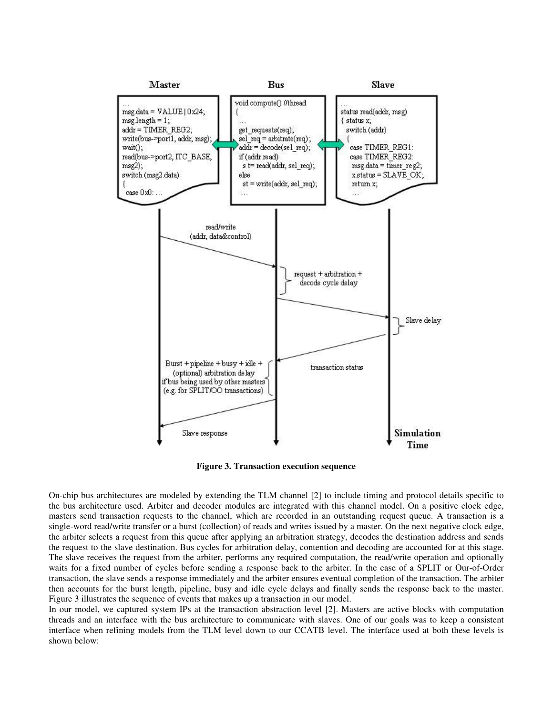

**Figure 3. Transaction execution sequence**

On-chip bus architectures are modeled by extending the TLM channel [2] to include timing and protocol details specific to the bus architecture used. Arbiter and decoder modules are integrated with this channel model. On a positive clock edge, masters send transaction requests to the channel, which are recorded in an outstanding request queue. A transaction is a single-word read/write transfer or a burst (collection) of reads and writes issued by a master. On the next negative clock edge, the arbiter selects a request from this queue after applying an arbitration strategy, decodes the destination address and sends the request to the slave destination. Bus cycles for arbitration delay, contention and decoding are accounted for at this stage. The slave receives the request from the arbiter, performs any required computation, the read/write operation and optionally waits for a fixed number of cycles before sending a response back to the arbiter. In the case of a SPLIT or Our-of-Order transaction, the slave sends a response immediately and the arbiter ensures eventual completion of the transaction. The arbiter then accounts for the burst length, pipeline, busy and idle cycle delays and finally sends the response back to the master. Figure 3 illustrates the sequence of events that makes up a transaction in our model.

In our model, we captured system IPs at the transaction abstraction level [2]. Masters are active blocks with computation threads and an interface with the bus architecture to communicate with slaves. One of our goals was to keep a consistent interface when refining models from the TLM level down to our CCATB level. The interface used at both these levels is shown below: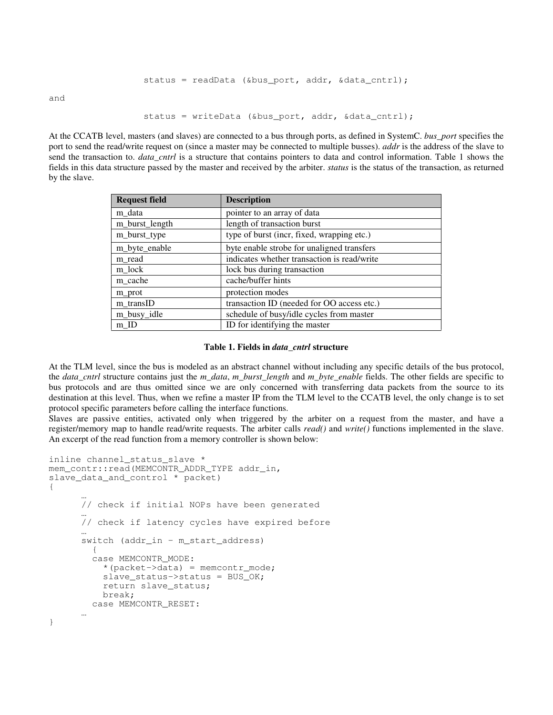```
status = readData (&bus_port, addr, &data_cntrl);
```
and

```
status = writeData (&bus port, addr, &data cntrl);
```
At the CCATB level, masters (and slaves) are connected to a bus through ports, as defined in SystemC. *bus\_port* specifies the port to send the read/write request on (since a master may be connected to multiple busses). *addr* is the address of the slave to send the transaction to. *data cntrl* is a structure that contains pointers to data and control information. Table 1 shows the fields in this data structure passed by the master and received by the arbiter. *status* is the status of the transaction, as returned by the slave.

| <b>Request field</b> | <b>Description</b>                          |
|----------------------|---------------------------------------------|
| m_data               | pointer to an array of data                 |
| m_burst_length       | length of transaction burst                 |
| m_burst_type         | type of burst (incr, fixed, wrapping etc.)  |
| m_byte_enable        | byte enable strobe for unaligned transfers  |
| m_read               | indicates whether transaction is read/write |
| m_lock               | lock bus during transaction                 |
| m_cache              | cache/buffer hints                          |
| m_prot               | protection modes                            |
| m transID            | transaction ID (needed for OO access etc.)  |
| m_busy_idle          | schedule of busy/idle cycles from master    |
| $m$ ID               | ID for identifying the master               |

#### **Table 1. Fields in** *data\_cntrl* **structure**

At the TLM level, since the bus is modeled as an abstract channel without including any specific details of the bus protocol, the *data\_cntrl* structure contains just the *m\_data*, *m\_burst\_length* and *m\_byte\_enable* fields. The other fields are specific to bus protocols and are thus omitted since we are only concerned with transferring data packets from the source to its destination at this level. Thus, when we refine a master IP from the TLM level to the CCATB level, the only change is to set protocol specific parameters before calling the interface functions.

Slaves are passive entities, activated only when triggered by the arbiter on a request from the master, and have a register/memory map to handle read/write requests. The arbiter calls *read()* and *write()* functions implemented in the slave. An excerpt of the read function from a memory controller is shown below:

```
inline channel_status_slave *
mem_contr::read(MEMCONTR_ADDR_TYPE addr_in,
slave_data_and_control * packet)
{
      …
      // check if initial NOPs have been generated
      …
      // check if latency cycles have expired before
      …
      switch (addr_in - m_start_address)
        {
        case MEMCONTR_MODE:
          *(packet->data) = memcontr mode;
          slave_status->status = BUS_OK;
          return slave_status;
          break;
        case MEMCONTR_RESET:
      …
}
```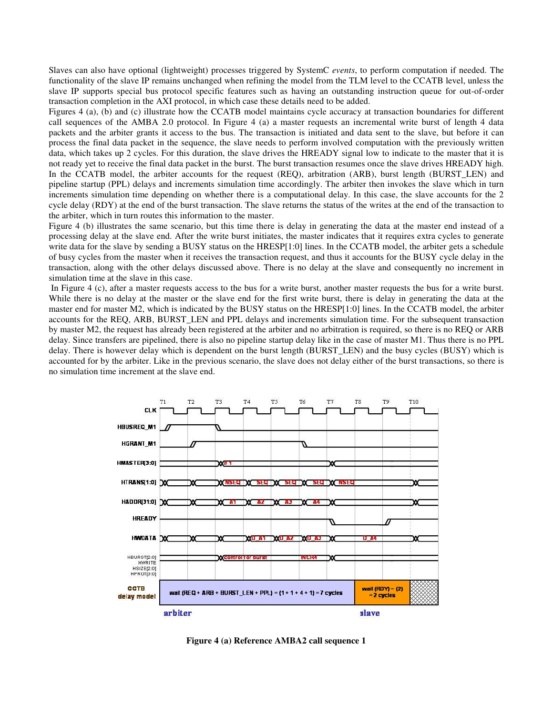Slaves can also have optional (lightweight) processes triggered by SystemC *events*, to perform computation if needed. The functionality of the slave IP remains unchanged when refining the model from the TLM level to the CCATB level, unless the slave IP supports special bus protocol specific features such as having an outstanding instruction queue for out-of-order transaction completion in the AXI protocol, in which case these details need to be added.

Figures 4 (a), (b) and (c) illustrate how the CCATB model maintains cycle accuracy at transaction boundaries for different call sequences of the AMBA 2.0 protocol. In Figure 4 (a) a master requests an incremental write burst of length 4 data packets and the arbiter grants it access to the bus. The transaction is initiated and data sent to the slave, but before it can process the final data packet in the sequence, the slave needs to perform involved computation with the previously written data, which takes up 2 cycles. For this duration, the slave drives the HREADY signal low to indicate to the master that it is not ready yet to receive the final data packet in the burst. The burst transaction resumes once the slave drives HREADY high. In the CCATB model, the arbiter accounts for the request (REQ), arbitration (ARB), burst length (BURST\_LEN) and pipeline startup (PPL) delays and increments simulation time accordingly. The arbiter then invokes the slave which in turn increments simulation time depending on whether there is a computational delay. In this case, the slave accounts for the 2 cycle delay (RDY) at the end of the burst transaction. The slave returns the status of the writes at the end of the transaction to the arbiter, which in turn routes this information to the master.

Figure 4 (b) illustrates the same scenario, but this time there is delay in generating the data at the master end instead of a processing delay at the slave end. After the write burst initiates, the master indicates that it requires extra cycles to generate write data for the slave by sending a BUSY status on the HRESP[1:0] lines. In the CCATB model, the arbiter gets a schedule of busy cycles from the master when it receives the transaction request, and thus it accounts for the BUSY cycle delay in the transaction, along with the other delays discussed above. There is no delay at the slave and consequently no increment in simulation time at the slave in this case.

In Figure 4 (c), after a master requests access to the bus for a write burst, another master requests the bus for a write burst. While there is no delay at the master or the slave end for the first write burst, there is delay in generating the data at the master end for master M2, which is indicated by the BUSY status on the HRESP[1:0] lines. In the CCATB model, the arbiter accounts for the REQ, ARB, BURST\_LEN and PPL delays and increments simulation time. For the subsequent transaction by master M2, the request has already been registered at the arbiter and no arbitration is required, so there is no REQ or ARB delay. Since transfers are pipelined, there is also no pipeline startup delay like in the case of master M1. Thus there is no PPL delay. There is however delay which is dependent on the burst length (BURST\_LEN) and the busy cycles (BUSY) which is accounted for by the arbiter. Like in the previous scenario, the slave does not delay either of the burst transactions, so there is no simulation time increment at the slave end.



**Figure 4 (a) Reference AMBA2 call sequence 1**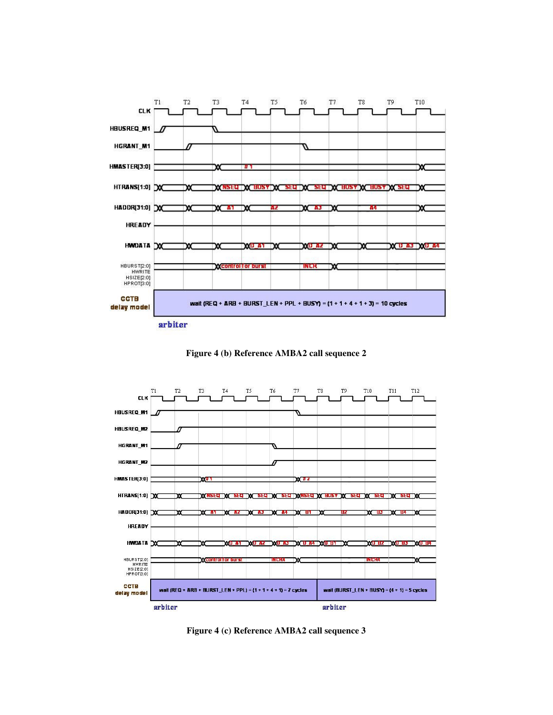

**Figure 4 (b) Reference AMBA2 call sequence 2**



**Figure 4 (c) Reference AMBA2 call sequence 3**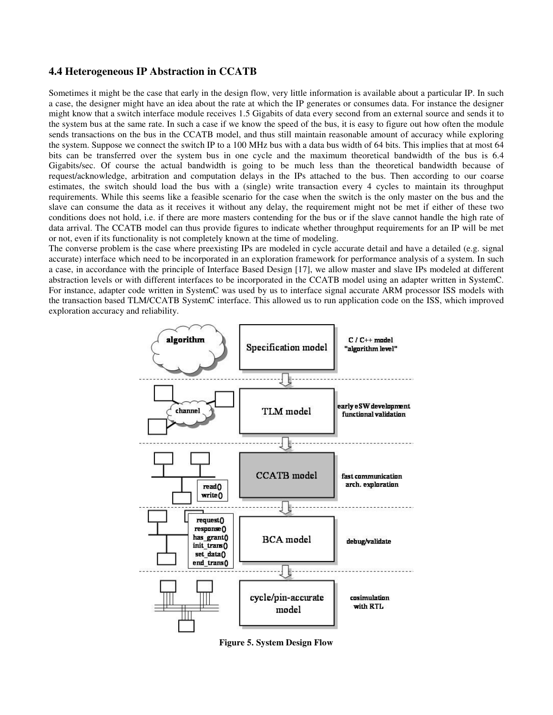#### **4.4 Heterogeneous IP Abstraction in CCATB**

Sometimes it might be the case that early in the design flow, very little information is available about a particular IP. In such a case, the designer might have an idea about the rate at which the IP generates or consumes data. For instance the designer might know that a switch interface module receives 1.5 Gigabits of data every second from an external source and sends it to the system bus at the same rate. In such a case if we know the speed of the bus, it is easy to figure out how often the module sends transactions on the bus in the CCATB model, and thus still maintain reasonable amount of accuracy while exploring the system. Suppose we connect the switch IP to a 100 MHz bus with a data bus width of 64 bits. This implies that at most 64 bits can be transferred over the system bus in one cycle and the maximum theoretical bandwidth of the bus is 6.4 Gigabits/sec. Of course the actual bandwidth is going to be much less than the theoretical bandwidth because of request/acknowledge, arbitration and computation delays in the IPs attached to the bus. Then according to our coarse estimates, the switch should load the bus with a (single) write transaction every 4 cycles to maintain its throughput requirements. While this seems like a feasible scenario for the case when the switch is the only master on the bus and the slave can consume the data as it receives it without any delay, the requirement might not be met if either of these two conditions does not hold, i.e. if there are more masters contending for the bus or if the slave cannot handle the high rate of data arrival. The CCATB model can thus provide figures to indicate whether throughput requirements for an IP will be met or not, even if its functionality is not completely known at the time of modeling.

The converse problem is the case where preexisting IPs are modeled in cycle accurate detail and have a detailed (e.g. signal accurate) interface which need to be incorporated in an exploration framework for performance analysis of a system. In such a case, in accordance with the principle of Interface Based Design [17], we allow master and slave IPs modeled at different abstraction levels or with different interfaces to be incorporated in the CCATB model using an adapter written in SystemC. For instance, adapter code written in SystemC was used by us to interface signal accurate ARM processor ISS models with the transaction based TLM/CCATB SystemC interface. This allowed us to run application code on the ISS, which improved exploration accuracy and reliability.



**Figure 5. System Design Flow**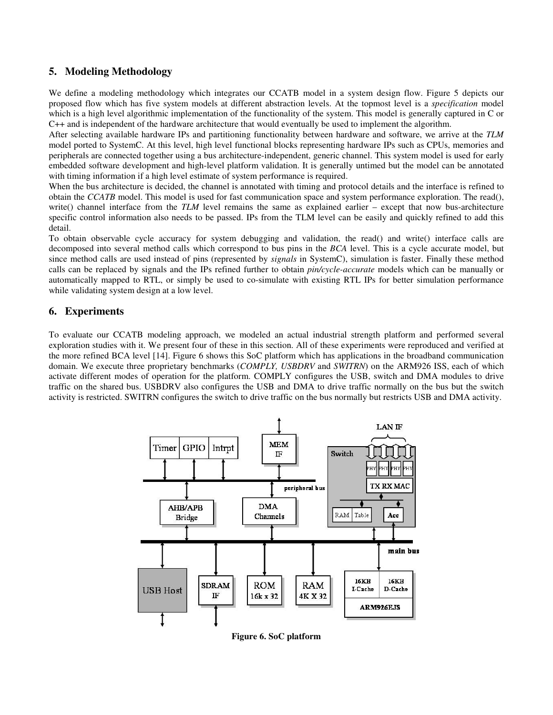# **5. Modeling Methodology**

We define a modeling methodology which integrates our CCATB model in a system design flow. Figure 5 depicts our proposed flow which has five system models at different abstraction levels. At the topmost level is a *specification* model which is a high level algorithmic implementation of the functionality of the system. This model is generally captured in C or C++ and is independent of the hardware architecture that would eventually be used to implement the algorithm.

After selecting available hardware IPs and partitioning functionality between hardware and software, we arrive at the *TLM* model ported to SystemC. At this level, high level functional blocks representing hardware IPs such as CPUs, memories and peripherals are connected together using a bus architecture-independent, generic channel. This system model is used for early embedded software development and high-level platform validation. It is generally untimed but the model can be annotated with timing information if a high level estimate of system performance is required.

When the bus architecture is decided, the channel is annotated with timing and protocol details and the interface is refined to obtain the *CCATB* model. This model is used for fast communication space and system performance exploration. The read(), write() channel interface from the *TLM* level remains the same as explained earlier – except that now bus-architecture specific control information also needs to be passed. IPs from the TLM level can be easily and quickly refined to add this detail.

To obtain observable cycle accuracy for system debugging and validation, the read() and write() interface calls are decomposed into several method calls which correspond to bus pins in the *BCA* level. This is a cycle accurate model, but since method calls are used instead of pins (represented by *signals* in SystemC), simulation is faster. Finally these method calls can be replaced by signals and the IPs refined further to obtain *pin/cycle-accurate* models which can be manually or automatically mapped to RTL, or simply be used to co-simulate with existing RTL IPs for better simulation performance while validating system design at a low level.

# **6. Experiments**

To evaluate our CCATB modeling approach, we modeled an actual industrial strength platform and performed several exploration studies with it. We present four of these in this section. All of these experiments were reproduced and verified at the more refined BCA level [14]. Figure 6 shows this SoC platform which has applications in the broadband communication domain. We execute three proprietary benchmarks (*COMPLY, USBDRV* and *SWITRN*) on the ARM926 ISS, each of which activate different modes of operation for the platform. COMPLY configures the USB, switch and DMA modules to drive traffic on the shared bus. USBDRV also configures the USB and DMA to drive traffic normally on the bus but the switch activity is restricted. SWITRN configures the switch to drive traffic on the bus normally but restricts USB and DMA activity.



**Figure 6. SoC platform**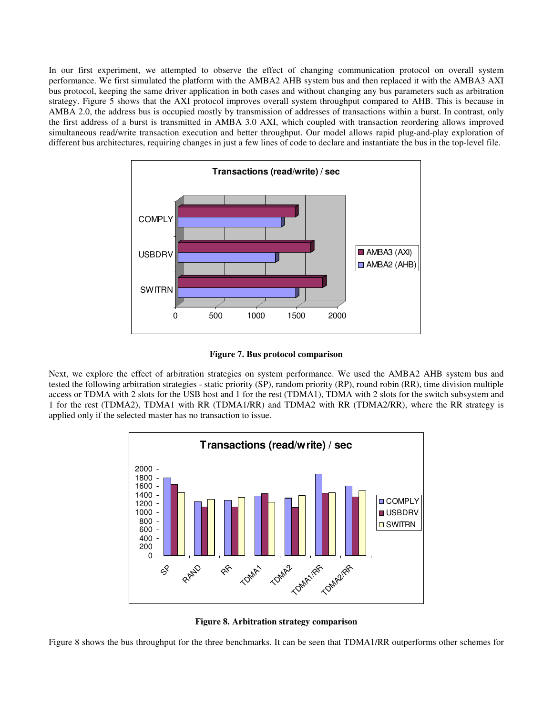In our first experiment, we attempted to observe the effect of changing communication protocol on overall system performance. We first simulated the platform with the AMBA2 AHB system bus and then replaced it with the AMBA3 AXI bus protocol, keeping the same driver application in both cases and without changing any bus parameters such as arbitration strategy. Figure 5 shows that the AXI protocol improves overall system throughput compared to AHB. This is because in AMBA 2.0, the address bus is occupied mostly by transmission of addresses of transactions within a burst. In contrast, only the first address of a burst is transmitted in AMBA 3.0 AXI, which coupled with transaction reordering allows improved simultaneous read/write transaction execution and better throughput. Our model allows rapid plug-and-play exploration of different bus architectures, requiring changes in just a few lines of code to declare and instantiate the bus in the top-level file.



**Figure 7. Bus protocol comparison**

Next, we explore the effect of arbitration strategies on system performance. We used the AMBA2 AHB system bus and tested the following arbitration strategies - static priority (SP), random priority (RP), round robin (RR), time division multiple access or TDMA with 2 slots for the USB host and 1 for the rest (TDMA1), TDMA with 2 slots for the switch subsystem and 1 for the rest (TDMA2), TDMA1 with RR (TDMA1/RR) and TDMA2 with RR (TDMA2/RR), where the RR strategy is applied only if the selected master has no transaction to issue.



**Figure 8. Arbitration strategy comparison**

Figure 8 shows the bus throughput for the three benchmarks. It can be seen that TDMA1/RR outperforms other schemes for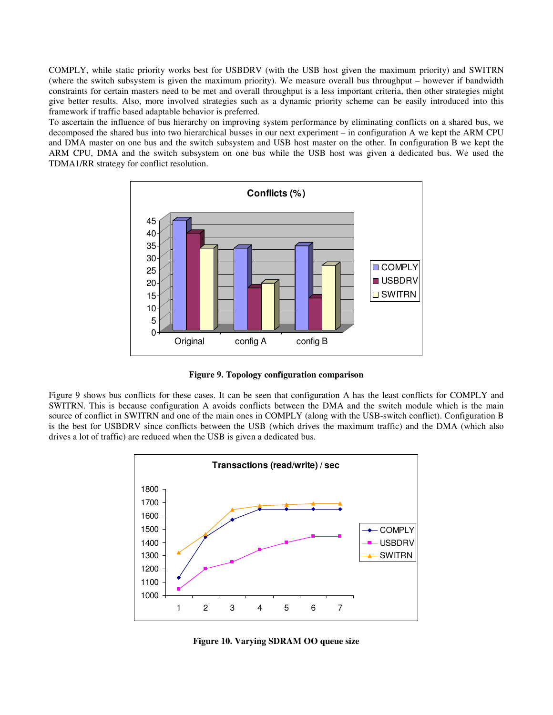COMPLY, while static priority works best for USBDRV (with the USB host given the maximum priority) and SWITRN (where the switch subsystem is given the maximum priority). We measure overall bus throughput – however if bandwidth constraints for certain masters need to be met and overall throughput is a less important criteria, then other strategies might give better results. Also, more involved strategies such as a dynamic priority scheme can be easily introduced into this framework if traffic based adaptable behavior is preferred.

To ascertain the influence of bus hierarchy on improving system performance by eliminating conflicts on a shared bus, we decomposed the shared bus into two hierarchical busses in our next experiment – in configuration A we kept the ARM CPU and DMA master on one bus and the switch subsystem and USB host master on the other. In configuration B we kept the ARM CPU, DMA and the switch subsystem on one bus while the USB host was given a dedicated bus. We used the TDMA1/RR strategy for conflict resolution.



**Figure 9. Topology configuration comparison**

Figure 9 shows bus conflicts for these cases. It can be seen that configuration A has the least conflicts for COMPLY and SWITRN. This is because configuration A avoids conflicts between the DMA and the switch module which is the main source of conflict in SWITRN and one of the main ones in COMPLY (along with the USB-switch conflict). Configuration B is the best for USBDRV since conflicts between the USB (which drives the maximum traffic) and the DMA (which also drives a lot of traffic) are reduced when the USB is given a dedicated bus.



**Figure 10. Varying SDRAM OO queue size**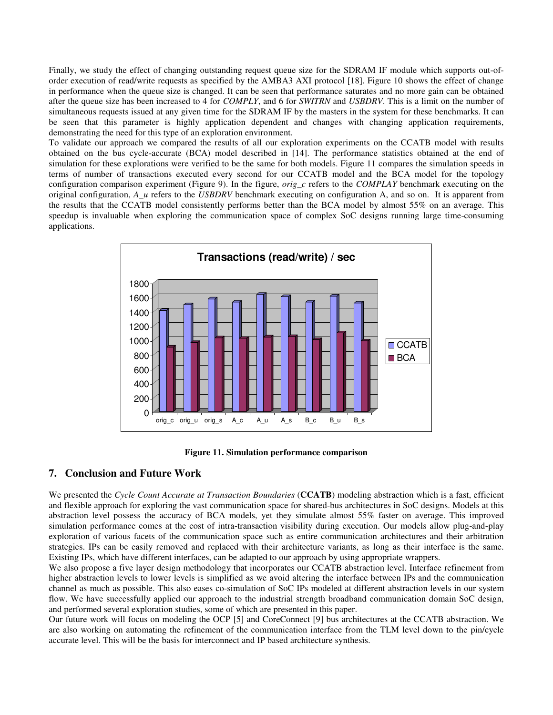Finally, we study the effect of changing outstanding request queue size for the SDRAM IF module which supports out-oforder execution of read/write requests as specified by the AMBA3 AXI protocol [18]. Figure 10 shows the effect of change in performance when the queue size is changed. It can be seen that performance saturates and no more gain can be obtained after the queue size has been increased to 4 for *COMPLY*, and 6 for *SWITRN* and *USBDRV*. This is a limit on the number of simultaneous requests issued at any given time for the SDRAM IF by the masters in the system for these benchmarks. It can be seen that this parameter is highly application dependent and changes with changing application requirements, demonstrating the need for this type of an exploration environment.

To validate our approach we compared the results of all our exploration experiments on the CCATB model with results obtained on the bus cycle-accurate (BCA) model described in [14]. The performance statistics obtained at the end of simulation for these explorations were verified to be the same for both models. Figure 11 compares the simulation speeds in terms of number of transactions executed every second for our CCATB model and the BCA model for the topology configuration comparison experiment (Figure 9). In the figure, *orig\_c* refers to the *COMPLAY* benchmark executing on the original configuration, *A\_u* refers to the *USBDRV* benchmark executing on configuration A, and so on. It is apparent from the results that the CCATB model consistently performs better than the BCA model by almost 55% on an average. This speedup is invaluable when exploring the communication space of complex SoC designs running large time-consuming applications.



**Figure 11. Simulation performance comparison**

#### **7. Conclusion and Future Work**

We presented the *Cycle Count Accurate at Transaction Boundaries* (**CCATB**) modeling abstraction which is a fast, efficient and flexible approach for exploring the vast communication space for shared-bus architectures in SoC designs. Models at this abstraction level possess the accuracy of BCA models, yet they simulate almost 55% faster on average. This improved simulation performance comes at the cost of intra-transaction visibility during execution. Our models allow plug-and-play exploration of various facets of the communication space such as entire communication architectures and their arbitration strategies. IPs can be easily removed and replaced with their architecture variants, as long as their interface is the same. Existing IPs, which have different interfaces, can be adapted to our approach by using appropriate wrappers.

We also propose a five layer design methodology that incorporates our CCATB abstraction level. Interface refinement from higher abstraction levels to lower levels is simplified as we avoid altering the interface between IPs and the communication channel as much as possible. This also eases co-simulation of SoC IPs modeled at different abstraction levels in our system flow. We have successfully applied our approach to the industrial strength broadband communication domain SoC design, and performed several exploration studies, some of which are presented in this paper.

Our future work will focus on modeling the OCP [5] and CoreConnect [9] bus architectures at the CCATB abstraction. We are also working on automating the refinement of the communication interface from the TLM level down to the pin/cycle accurate level. This will be the basis for interconnect and IP based architecture synthesis.